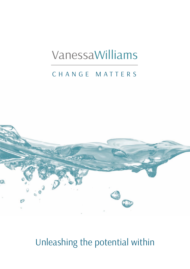# VanessaWilliams

## CHANGE MATTERS



## Unleashing the potential within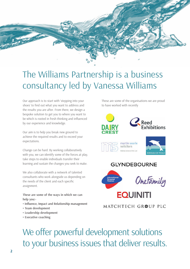

## The Williams Partnership is a business consultancy led by Vanessa Williams

Our approach is to start with 'stepping into your shoes' to find out what you want to address and the results you are after. From there, we design a bespoke solution to get you to where you want to be which is rooted in fresh thinking and influenced by our experience and knowledge.

Our aim is to help you break new ground to achieve the required results and to exceed your expectations.

Change can be hard. By working collaboratively with you, we can identify some of the forces at play, take steps to enable individuals transfer their learning and sustain the changes you seek to make.

We also collaborate with a network of talented consultants who work alongside us depending on the needs of the client and each specific assignment.

**These are some of the ways in which we can help you:-**

- **Influence, Impact and Relationship management**
- **Team development**
- **Leadership development**
- **Executive coaching**

These are some of the organisations we are proud to have worked with recently



#### MATCHTECH GROUP PLC

We offer powerful development solutions to your business issues that deliver results.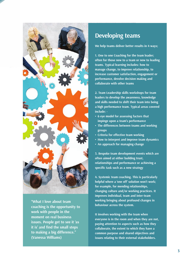

**"What I love about team coaching is the opportunity to work with people in the moment on real business issues. People get to see it 'as it is' and find the small steps to making a big difference." (Vanessa Williams)**

### **Developing teams**

**We help teams deliver better results in 4 ways;** 

**1. One to one Coaching for the team leader; often for those new to a team or new to leading teams. Typical learning includes: how to manage change, to improve relationship, to increase customer satisfaction, engagement or performance, devolve decision making and collaborate with other teams** 

**2. Team Leadership skills workshops for team leaders to develop the awareness, knowledge and skills needed to shift their team into being a high performance team. Typical areas covered include: -** 

- **6 eye model for assessing factors that impinge upon a team's performance**
- **The differences between teams and working groups**
- **Criteria for effective team working**
- **How to interpret and improve team dynamics**
- **An approach for managing change**

**3. Bespoke team development events which are often aimed at either building trust, relationships and performance or achieving a specific task such as a new strategy** 

**4. Systemic team coaching. This is particularly helpful where a 'one off' solution won't work; for example, for mending relationships, changing culture and/or working practices. It improves individual, team and inter-team working bringing about profound changes in behaviour across the system.** 

**It involves working with the team when everyone is in the room and when they are not, paying attention to aspects such as how they collaborate, the extent to which they have a common purpose and shared objectives and issues relating to their external stakeholders.**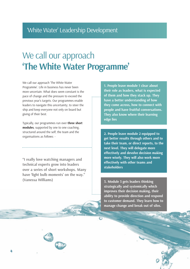## We call our approach **'The White Water Programme'**

We call our approach 'The White Water Programme'. Life in business has never been more uncertain. What does seem constant is the pace of change and the pressure to exceed the previous year's targets. Our programmes enable leaders to navigate this uncertainty; to steer the ship and keep everyone not only on board but giving of their best.

Typically, our programmes run over **three short modules**, supported by one to one coaching, structured around the self, the team and the organisations as follows: -

**"I really love watching managers and technical experts grow into leaders over a series of short workshops. Many have 'light bulb moments' on the way." (Vanessa Williams)**

**1. People leave module 1 clear about their role as leaders, what is expected of them and how they stack up. They have a better understanding of how they come across, how to connect with people and have fruitful conversations. They also know where their learning edge lies** 

**2. People leave module 2 equipped to get better results through others and to take their team, or direct reports, to the next level. They will delegate more effectively and devolve decision making more wisely. They will also work more effectively with other teams and stakeholders** 

**3. Module 3 gets leaders thinking strategically and systemically which improves their decision making, their ability to provide direction and respond to customer demand. They learn how to manage change and break out of silos.**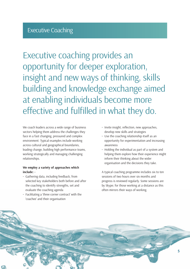Executive coaching provides an opportunity for deeper exploration, insight and new ways of thinking, skills building and knowledge exchange aimed at enabling individuals become more effective and fulfilled in what they do.

We coach leaders across a wide range of business sectors helping them address the challenges they face in a fast changing, pressured and complex environment. Typical examples include working across cultural and geographical boundaries, leading change, building high performance teams, working strategically and managing challenging relationships.

#### **We employ a variety of approaches which include: -**

- Gathering data, including feedback, from selected key stakeholders both before and after the coaching to identify strengths, set and evaluate the coaching agenda
- Facilitating a 'three corner contract' with the 'coachee' and their organisation
- Invite insight, reflection, new approaches, develop new skills and strategies
- Use the coaching relationship itself as an opportunity for experimentation and increasing awareness
- Holding the individual as part of a system and helping them explore how their experience might inform their thinking about the wider organisation and the decisions they take.

A typical coaching programme includes six to ten sessions of two hours over six months and progress is reviewed regularly. Some sessions are by Skype; for those working at a distance as this often mirrors their ways of working.

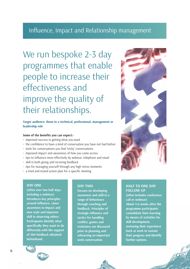### Influence, Impact and Relationship management

We run bespoke 2-3 day programmes that enable people to increase their effectiveness and improve the quality of their relationships.

#### **Target audience; those in a technical, professional, management or leadership role**

#### **Some of the benefits you can expect:-**

- improved success in getting what you want
- the confidence to have a kind of conversation you have not had before
- tools for conversations you find 'tricky' conversations
- improved impact and awareness of how you come across
- tips to influence more effectively by webinar, telephone and email
- skill in both giving and receiving feedback
- tips for managing yourself through any high stress moments
- a tried and tested action plan for a specific meeting

#### **DAY ONE**

**(often over two half days including a webinar) introduces key principles around influence, raises awareness to impact and own style and improves skill in observing others. Participants identify what specifically they want to do differently with the support of 360 feedback obtained beforehand.** 

#### **DAY TWO**

**focuses on developing awareness and skill in a range of behaviours through coaching and feedback. Principles of strategic influence and tactics for handling conflict, games and resistance are discussed prior to planning and rehearsing an important work conversation.** 



#### **HALF TO ONE DAY FOLLOW UP**

**(often includes conference call or webinar) About 4-6 weeks after the programme participants consolidate their learning by means of activities for skill development, reviewing their experience back at work to sustain their progress and identify further options.**

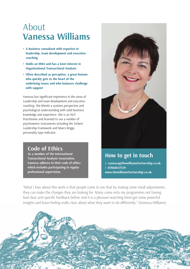## About **Vanessa Williams**

- **A Business consultant with expertise in leadership, team development and executive coaching**
- **Holds an MBA and has a keen interest in Organisational Transactional Analysis**
- **Often described as perceptive, a great listener who quickly gets to the heart of the underlying issues and who balances challenge with support**

Vanessa has significant experience in the areas of Leadership and team development and executive coaching. She blends a systems perspective and psychological understanding with solid business knowledge and experience. She is an NLP Practitioner and licensed to use a number of psychometric instruments including the Torbert Leadership Framework and Myers Briggs personality type indicator.

### **Code of Ethics**

**As a member of the International Transactional Analysis Association, Vanessa adheres to their code of ethics which includes participating in regular professional supervision.**



### **How to get in touch**

e: **vanessa@thewilliamsPartnership.co.uk** t: **07868657539 www.thewilliamsPartnership.co.uk**

"What I love about this work is that people come to see that by making some small adjustments, they can make the changes they are looking for. Many come onto my programmes not having had clear and specific feedback before and it is a pleasure watching them get some powerful insights and leave feeling really clear about what they want to do differently." (Vanessa Williams)